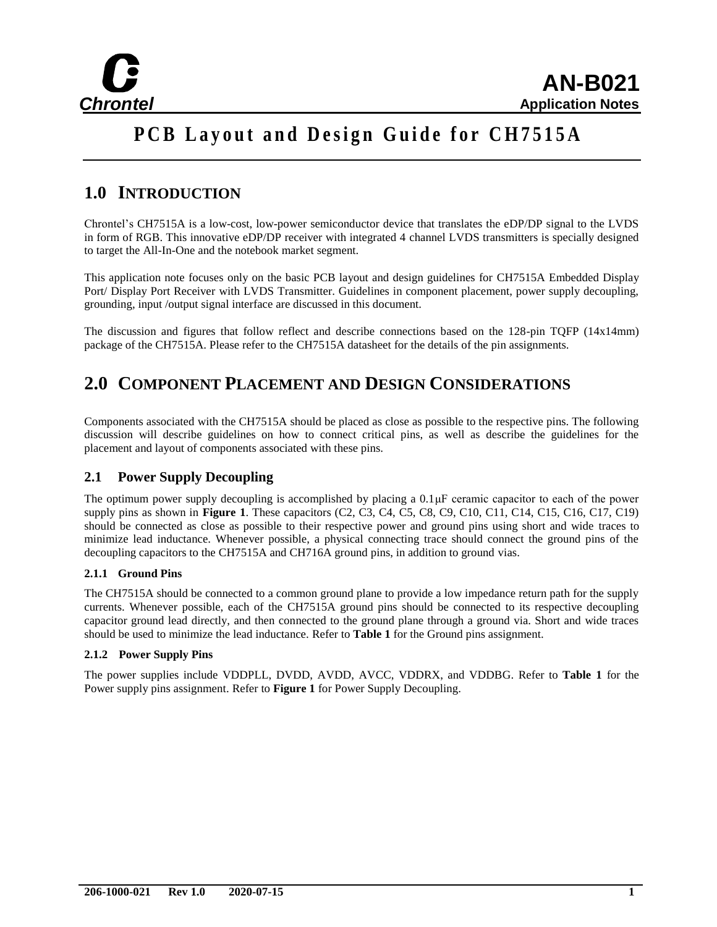

# **PCB Layout and Design Guide for CH7515A**

# **1.0 INTRODUCTION**

Chrontel's CH7515A is a low-cost, low-power semiconductor device that translates the eDP/DP signal to the LVDS in form of RGB. This innovative eDP/DP receiver with integrated 4 channel LVDS transmitters is specially designed to target the All-In-One and the notebook market segment.

This application note focuses only on the basic PCB layout and design guidelines for CH7515A Embedded Display Port/ Display Port Receiver with LVDS Transmitter. Guidelines in component placement, power supply decoupling, grounding, input /output signal interface are discussed in this document.

The discussion and figures that follow reflect and describe connections based on the 128-pin TQFP (14x14mm) package of the CH7515A. Please refer to the CH7515A datasheet for the details of the pin assignments.

# **2.0 COMPONENT PLACEMENT AND DESIGN CONSIDERATIONS**

Components associated with the CH7515A should be placed as close as possible to the respective pins. The following discussion will describe guidelines on how to connect critical pins, as well as describe the guidelines for the placement and layout of components associated with these pins.

### **2.1 Power Supply Decoupling**

The optimum power supply decoupling is accomplished by placing a 0.1μF ceramic capacitor to each of the power supply pins as shown in **Figure 1**. These capacitors (C2, C3, C4, C5, C8, C9, C10, C11, C14, C15, C16, C17, C19) should be connected as close as possible to their respective power and ground pins using short and wide traces to minimize lead inductance. Whenever possible, a physical connecting trace should connect the ground pins of the decoupling capacitors to the CH7515A and CH716A ground pins, in addition to ground vias.

#### **2.1.1 Ground Pins**

The CH7515A should be connected to a common ground plane to provide a low impedance return path for the supply currents. Whenever possible, each of the CH7515A ground pins should be connected to its respective decoupling capacitor ground lead directly, and then connected to the ground plane through a ground via. Short and wide traces should be used to minimize the lead inductance. Refer to **Table 1** for the Ground pins assignment.

#### **2.1.2 Power Supply Pins**

The power supplies include VDDPLL, DVDD, AVDD, AVCC, VDDRX, and VDDBG. Refer to **Table 1** for the Power supply pins assignment. Refer to **Figure 1** for Power Supply Decoupling.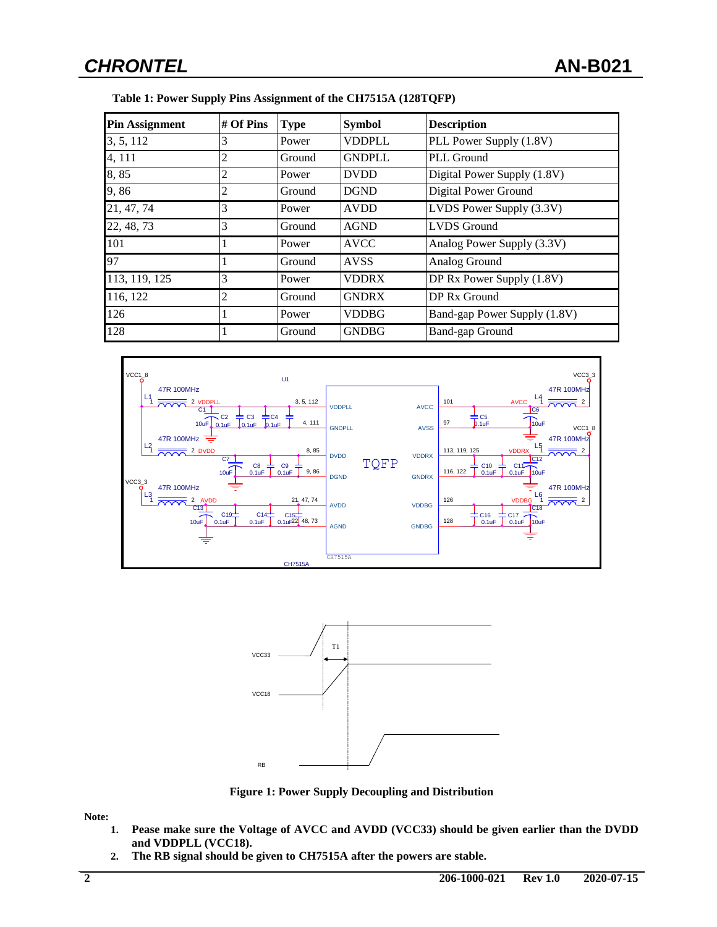| <b>Pin Assignment</b> | $#$ Of Pins | <b>Type</b> | <b>Symbol</b> | <b>Description</b>           |
|-----------------------|-------------|-------------|---------------|------------------------------|
| 3, 5, 112             | 3           | Power       | <b>VDDPLL</b> | PLL Power Supply (1.8V)      |
| 4, 111                | 2           | Ground      | <b>GNDPLL</b> | PLL Ground                   |
| 8,85                  | 2           | Power       | <b>DVDD</b>   | Digital Power Supply (1.8V)  |
| 9,86                  | 2           | Ground      | <b>DGND</b>   | Digital Power Ground         |
| 21, 47, 74            | 3           | Power       | <b>AVDD</b>   | LVDS Power Supply (3.3V)     |
| 22, 48, 73            | 3           | Ground      | <b>AGND</b>   | <b>LVDS</b> Ground           |
| 101                   |             | Power       | <b>AVCC</b>   | Analog Power Supply (3.3V)   |
| 97                    |             | Ground      | <b>AVSS</b>   | Analog Ground                |
| 113, 119, 125         | 3           | Power       | <b>VDDRX</b>  | DP Rx Power Supply (1.8V)    |
| 116, 122              | 2           | Ground      | <b>GNDRX</b>  | DP Rx Ground                 |
| 126                   |             | Power       | <b>VDDBG</b>  | Band-gap Power Supply (1.8V) |
| 128                   |             | Ground      | <b>GNDBG</b>  | <b>Band-gap Ground</b>       |







**Figure 1: Power Supply Decoupling and Distribution**

**Note:** 

- **1. Pease make sure the Voltage of AVCC and AVDD (VCC33) should be given earlier than the DVDD and VDDPLL (VCC18).**
- **2. The RB signal should be given to CH7515A after the powers are stable.**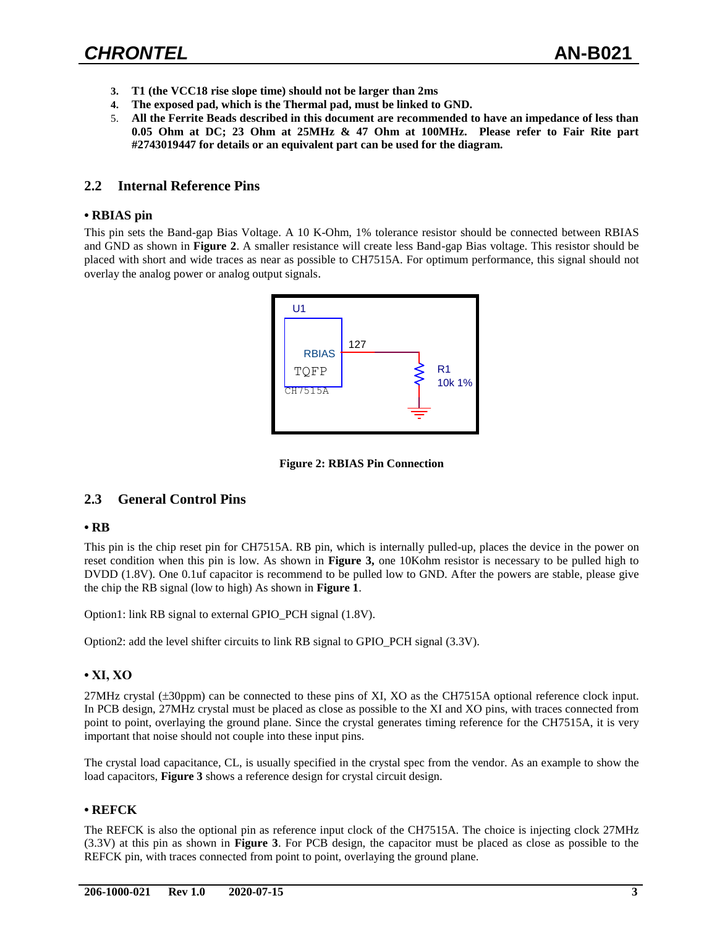- **3. T1 (the VCC18 rise slope time) should not be larger than 2ms**
- **4. The exposed pad, which is the Thermal pad, must be linked to GND.**
- 5. **All the Ferrite Beads described in this document are recommended to have an impedance of less than 0.05 Ohm at DC; 23 Ohm at 25MHz & 47 Ohm at 100MHz. Please refer to Fair Rite part #2743019447 for details or an equivalent part can be used for the diagram.**

#### **2.2 Internal Reference Pins**

#### **• RBIAS pin**

This pin sets the Band-gap Bias Voltage. A 10 K-Ohm, 1% tolerance resistor should be connected between RBIAS and GND as shown in **Figure 2**. A smaller resistance will create less Band-gap Bias voltage. This resistor should be placed with short and wide traces as near as possible to CH7515A. For optimum performance, this signal should not overlay the analog power or analog output signals.



**Figure 2: RBIAS Pin Connection**

#### **2.3 General Control Pins**

#### **• RB**

This pin is the chip reset pin for CH7515A. RB pin, which is internally pulled-up, places the device in the power on reset condition when this pin is low. As shown in **Figure 3,** one 10Kohm resistor is necessary to be pulled high to DVDD (1.8V). One 0.1uf capacitor is recommend to be pulled low to GND. After the powers are stable, please give the chip the RB signal (low to high) As shown in **Figure 1**.

Option1: link RB signal to external GPIO\_PCH signal (1.8V).

Option2: add the level shifter circuits to link RB signal to GPIO\_PCH signal (3.3V).

#### **• XI, XO**

27MHz crystal (±30ppm) can be connected to these pins of XI, XO as the CH7515A optional reference clock input. In PCB design, 27MHz crystal must be placed as close as possible to the XI and XO pins, with traces connected from point to point, overlaying the ground plane. Since the crystal generates timing reference for the CH7515A, it is very important that noise should not couple into these input pins.

The crystal load capacitance, CL, is usually specified in the crystal spec from the vendor. As an example to show the load capacitors, **Figure 3** shows a reference design for crystal circuit design.

#### **• REFCK**

The REFCK is also the optional pin as reference input clock of the CH7515A. The choice is injecting clock 27MHz (3.3V) at this pin as shown in **Figure 3**. For PCB design, the capacitor must be placed as close as possible to the REFCK pin, with traces connected from point to point, overlaying the ground plane.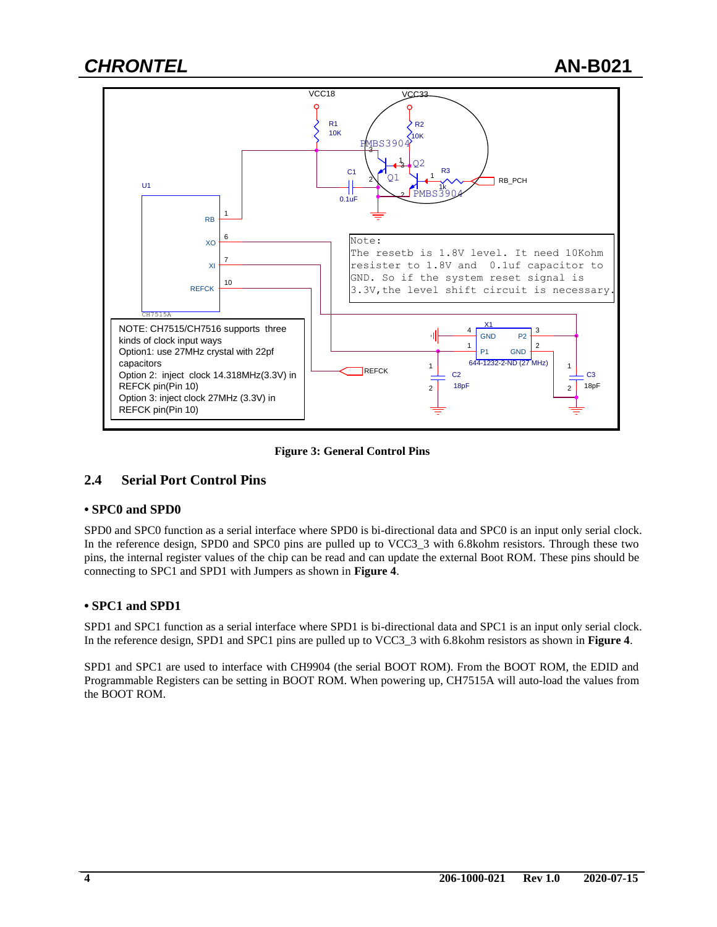

**Figure 3: General Control Pins**

### **2.4 Serial Port Control Pins**

#### **• SPC0 and SPD0**

SPD0 and SPC0 function as a serial interface where SPD0 is bi-directional data and SPC0 is an input only serial clock. In the reference design, SPD0 and SPC0 pins are pulled up to VCC3\_3 with 6.8kohm resistors. Through these two pins, the internal register values of the chip can be read and can update the external Boot ROM. These pins should be connecting to SPC1 and SPD1 with Jumpers as shown in **Figure 4**.

#### **• SPC1 and SPD1**

SPD1 and SPC1 function as a serial interface where SPD1 is bi-directional data and SPC1 is an input only serial clock. In the reference design, SPD1 and SPC1 pins are pulled up to VCC3\_3 with 6.8kohm resistors as shown in **Figure 4**.

SPD1 and SPC1 are used to interface with CH9904 (the serial BOOT ROM). From the BOOT ROM, the EDID and Programmable Registers can be setting in BOOT ROM. When powering up, CH7515A will auto-load the values from the BOOT ROM.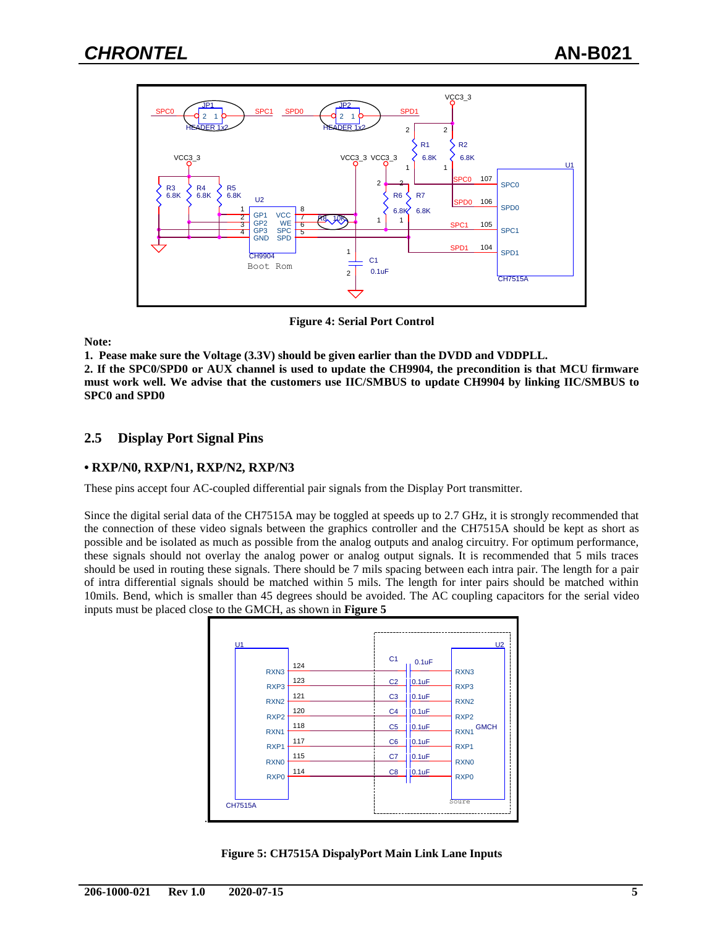

**Figure 4: Serial Port Control**

**Note:**

**1. Pease make sure the Voltage (3.3V) should be given earlier than the DVDD and VDDPLL.**

**2. If the SPC0/SPD0 or AUX channel is used to update the CH9904, the precondition is that MCU firmware must work well. We advise that the customers use IIC/SMBUS to update CH9904 by linking IIC/SMBUS to SPC0 and SPD0**

### **2.5 Display Port Signal Pins**

#### **• RXP/N0, RXP/N1, RXP/N2, RXP/N3**

These pins accept four AC-coupled differential pair signals from the Display Port transmitter.

Since the digital serial data of the CH7515A may be toggled at speeds up to 2.7 GHz, it is strongly recommended that the connection of these video signals between the graphics controller and the CH7515A should be kept as short as possible and be isolated as much as possible from the analog outputs and analog circuitry. For optimum performance, these signals should not overlay the analog power or analog output signals. It is recommended that 5 mils traces should be used in routing these signals. There should be 7 mils spacing between each intra pair. The length for a pair of intra differential signals should be matched within 5 mils. The length for inter pairs should be matched within 10mils. Bend, which is smaller than 45 degrees should be avoided. The AC coupling capacitors for the serial video inputs must be placed close to the GMCH, as shown in **Figure 5**



**Figure 5: CH7515A DispalyPort Main Link Lane Inputs**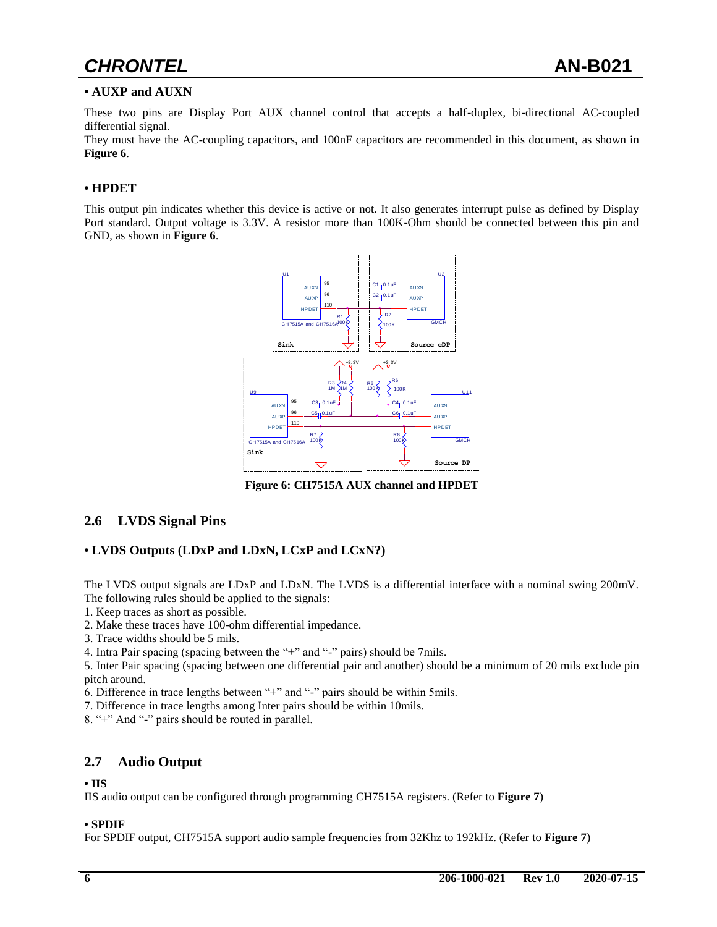# *CHRONTEL* **AN-B021**

#### **• AUXP and AUXN**

These two pins are Display Port AUX channel control that accepts a half-duplex, bi-directional AC-coupled differential signal.

They must have the AC-coupling capacitors, and 100nF capacitors are recommended in this document, as shown in **Figure 6**.

#### **• HPDET**

This output pin indicates whether this device is active or not. It also generates interrupt pulse as defined by Display Port standard. Output voltage is 3.3V. A resistor more than 100K-Ohm should be connected between this pin and GND, as shown in **Figure 6**.



**Figure 6: CH7515A AUX channel and HPDET** 

#### **2.6 LVDS Signal Pins**

#### **• LVDS Outputs (LDxP and LDxN, LCxP and LCxN?)**

The LVDS output signals are LDxP and LDxN. The LVDS is a differential interface with a nominal swing 200mV. The following rules should be applied to the signals:

1. Keep traces as short as possible.

2. Make these traces have 100-ohm differential impedance.

3. Trace widths should be 5 mils.

4. Intra Pair spacing (spacing between the "+" and "-" pairs) should be 7mils.

5. Inter Pair spacing (spacing between one differential pair and another) should be a minimum of 20 mils exclude pin pitch around.

6. Difference in trace lengths between "+" and "-" pairs should be within 5mils.

7. Difference in trace lengths among Inter pairs should be within 10mils.

8. "+" And "-" pairs should be routed in parallel.

#### **2.7 Audio Output**

#### **• IIS**

IIS audio output can be configured through programming CH7515A registers. (Refer to **Figure 7**)

#### **• SPDIF**

For SPDIF output, CH7515A support audio sample frequencies from 32Khz to 192kHz. (Refer to **Figure 7**)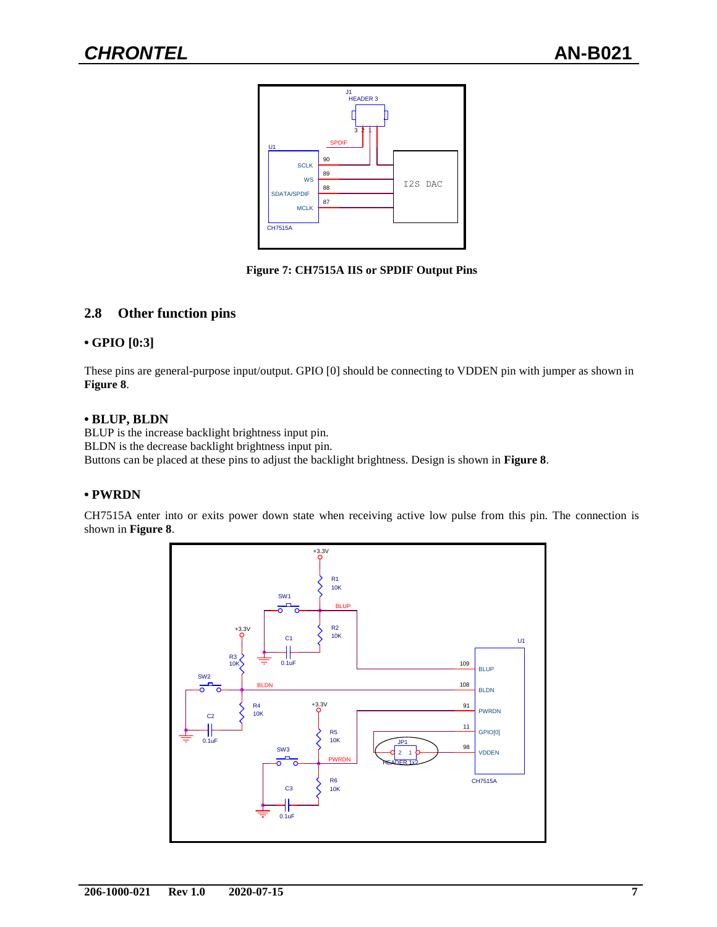

**Figure 7: CH7515A IIS or SPDIF Output Pins**

### **2.8 Other function pins**

#### **• GPIO [0:3]**

These pins are general-purpose input/output. GPIO [0] should be connecting to VDDEN pin with jumper as shown in **Figure 8**.

#### **• BLUP, BLDN**

BLUP is the increase backlight brightness input pin. BLDN is the decrease backlight brightness input pin. Buttons can be placed at these pins to adjust the backlight brightness. Design is shown in **Figure 8**.

#### **• PWRDN**

CH7515A enter into or exits power down state when receiving active low pulse from this pin. The connection is shown in **Figure 8**.

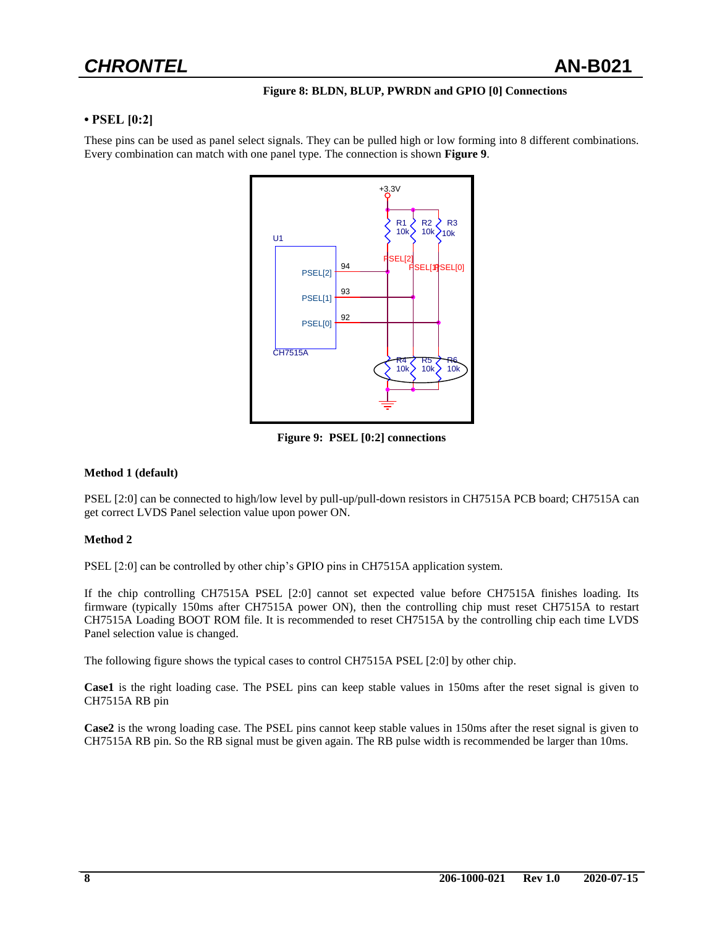#### **Figure 8: BLDN, BLUP, PWRDN and GPIO [0] Connections**

#### **• PSEL [0:2]**

These pins can be used as panel select signals. They can be pulled high or low forming into 8 different combinations. Every combination can match with one panel type. The connection is shown **Figure 9**.



**Figure 9: PSEL [0:2] connections**

#### **Method 1 (default)**

PSEL [2:0] can be connected to high/low level by pull-up/pull-down resistors in CH7515A PCB board; CH7515A can get correct LVDS Panel selection value upon power ON.

#### **Method 2**

PSEL [2:0] can be controlled by other chip's GPIO pins in CH7515A application system.

If the chip controlling CH7515A PSEL [2:0] cannot set expected value before CH7515A finishes loading. Its firmware (typically 150ms after CH7515A power ON), then the controlling chip must reset CH7515A to restart CH7515A Loading BOOT ROM file. It is recommended to reset CH7515A by the controlling chip each time LVDS Panel selection value is changed.

The following figure shows the typical cases to control CH7515A PSEL [2:0] by other chip.

**Case1** is the right loading case. The PSEL pins can keep stable values in 150ms after the reset signal is given to CH7515A RB pin

**Case2** is the wrong loading case. The PSEL pins cannot keep stable values in 150ms after the reset signal is given to CH7515A RB pin. So the RB signal must be given again. The RB pulse width is recommended be larger than 10ms.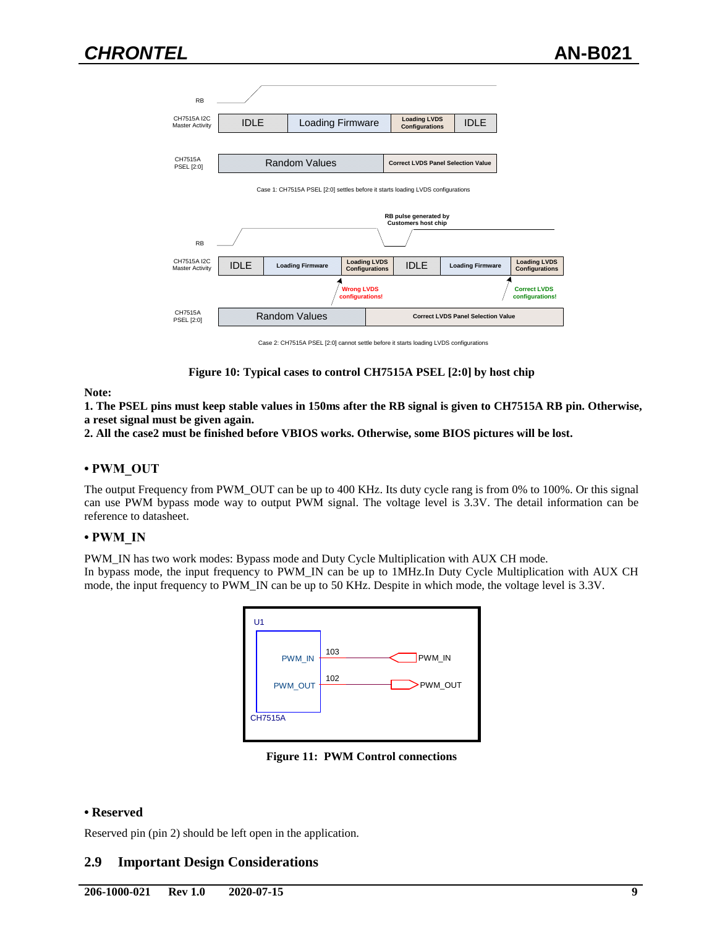

Case 2: CH7515A PSEL [2:0] cannot settle before it starts loading LVDS configurations

#### **Figure 10: Typical cases to control CH7515A PSEL [2:0] by host chip**

#### **Note:**

**1. The PSEL pins must keep stable values in 150ms after the RB signal is given to CH7515A RB pin. Otherwise, a reset signal must be given again.** 

**2. All the case2 must be finished before VBIOS works. Otherwise, some BIOS pictures will be lost.**

#### **• PWM\_OUT**

The output Frequency from PWM\_OUT can be up to 400 KHz. Its duty cycle rang is from 0% to 100%. Or this signal can use PWM bypass mode way to output PWM signal. The voltage level is 3.3V. The detail information can be reference to datasheet.

#### **• PWM\_IN**

PWM\_IN has two work modes: Bypass mode and Duty Cycle Multiplication with AUX CH mode.

In bypass mode, the input frequency to PWM\_IN can be up to 1MHz.In Duty Cycle Multiplication with AUX CH mode, the input frequency to PWM\_IN can be up to 50 KHz. Despite in which mode, the voltage level is 3.3V.



**Figure 11: PWM Control connections**

#### **• Reserved**

Reserved pin (pin 2) should be left open in the application.

#### **2.9 Important Design Considerations**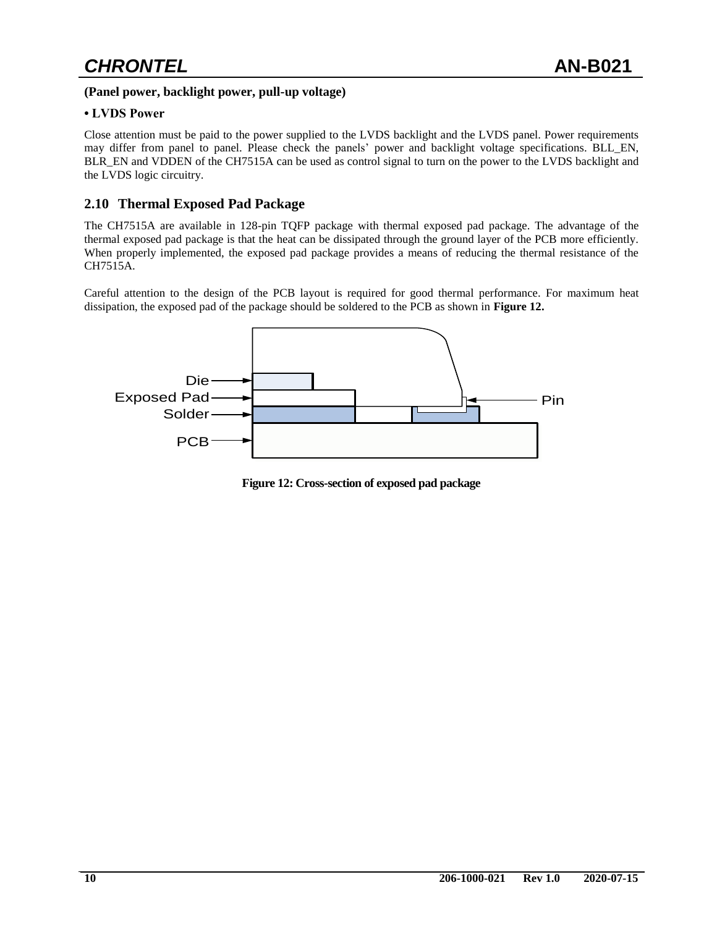#### **(Panel power, backlight power, pull-up voltage)**

#### **• LVDS Power**

Close attention must be paid to the power supplied to the LVDS backlight and the LVDS panel. Power requirements may differ from panel to panel. Please check the panels' power and backlight voltage specifications. BLL\_EN, BLR\_EN and VDDEN of the CH7515A can be used as control signal to turn on the power to the LVDS backlight and the LVDS logic circuitry.

#### **2.10 Thermal Exposed Pad Package**

The CH7515A are available in 128-pin TQFP package with thermal exposed pad package. The advantage of the thermal exposed pad package is that the heat can be dissipated through the ground layer of the PCB more efficiently. When properly implemented, the exposed pad package provides a means of reducing the thermal resistance of the CH7515A.

Careful attention to the design of the PCB layout is required for good thermal performance. For maximum heat dissipation, the exposed pad of the package should be soldered to the PCB as shown in **Figure 12.**



 **Figure 12: Cross-section of exposed pad package**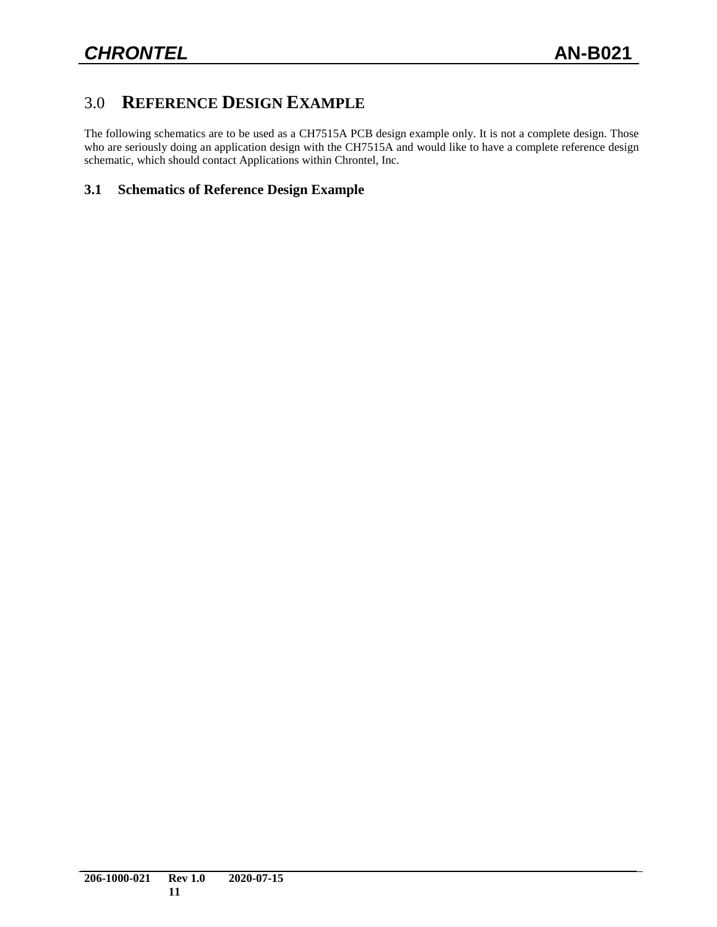# 3.0 **REFERENCE DESIGN EXAMPLE**

The following schematics are to be used as a CH7515A PCB design example only. It is not a complete design. Those who are seriously doing an application design with the CH7515A and would like to have a complete reference design schematic, which should contact Applications within Chrontel, Inc.

### **3.1 Schematics of Reference Design Example**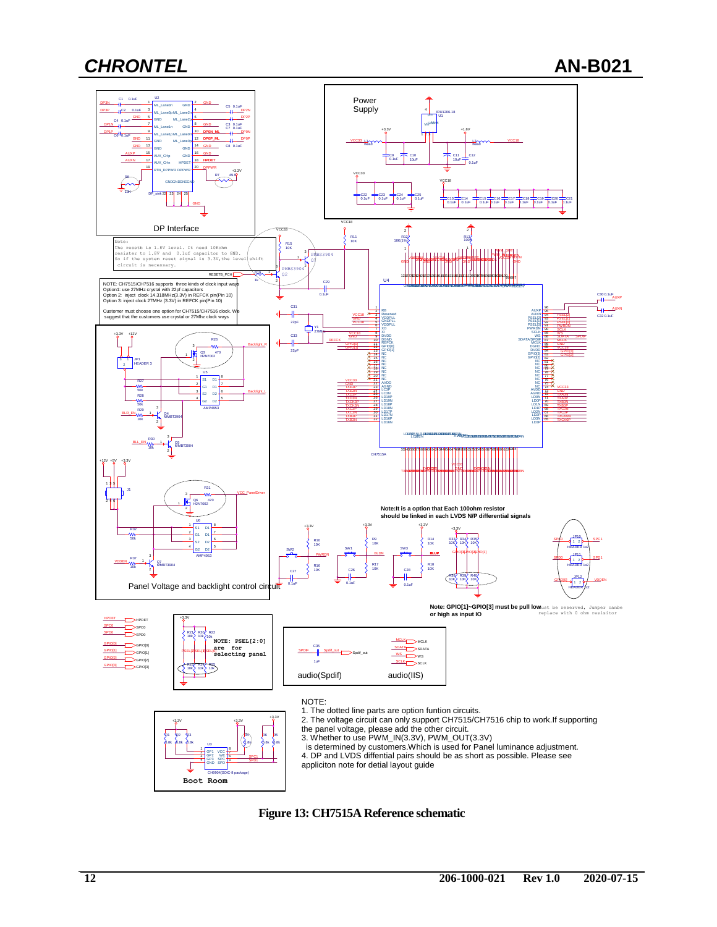

**Figure 13: CH7515A Reference schematic**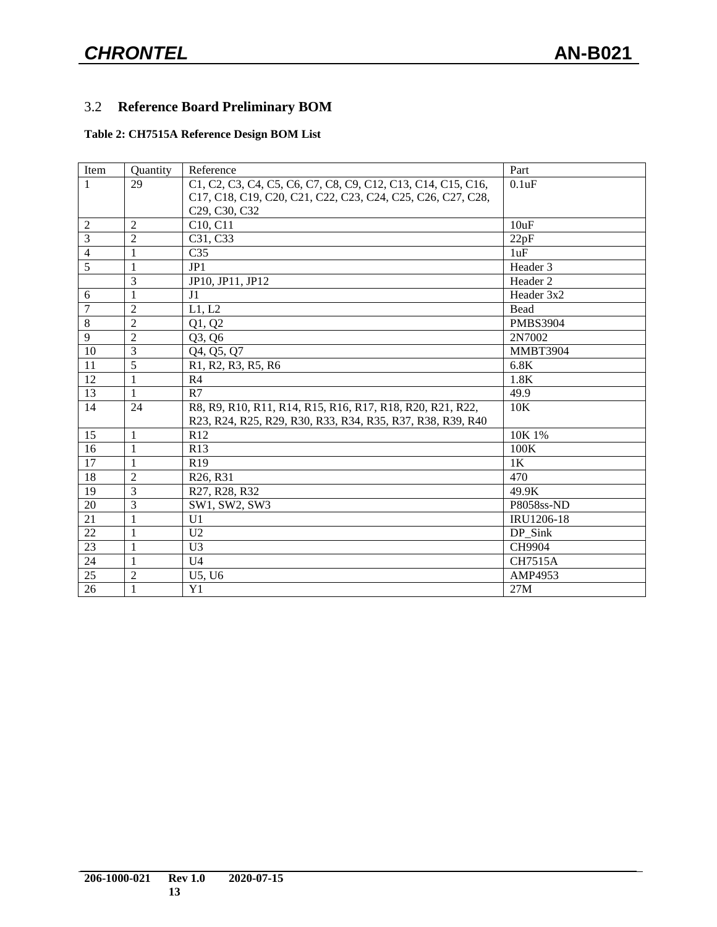## 3.2 **Reference Board Preliminary BOM**

### **Table 2: CH7515A Reference Design BOM List**

| Item           | Quantity       | Reference                                                    | Part            |
|----------------|----------------|--------------------------------------------------------------|-----------------|
| $\mathbf{1}$   | 29             | C1, C2, C3, C4, C5, C6, C7, C8, C9, C12, C13, C14, C15, C16, | 0.1uF           |
|                |                | C17, C18, C19, C20, C21, C22, C23, C24, C25, C26, C27, C28,  |                 |
|                |                | C29, C30, C32                                                |                 |
| $\overline{2}$ | $\overline{2}$ | C10, C11                                                     | 10uF            |
| $\overline{3}$ | $\overline{2}$ | C31, C33                                                     | 22pF            |
| 4              | 1              | C <sub>35</sub>                                              | 1uF             |
| $\overline{5}$ | 1              | JP1                                                          | Header 3        |
|                | 3              | JP10, JP11, JP12                                             | Header 2        |
| 6              | $\mathbf{1}$   | J <sub>1</sub>                                               | Header 3x2      |
| 7              | $\overline{2}$ | L1, L2                                                       | Bead            |
| $\overline{8}$ | $\overline{2}$ | Q1, Q2                                                       | <b>PMBS3904</b> |
| $\overline{9}$ | $\overline{2}$ | Q3, Q6                                                       | 2N7002          |
| 10             | 3              | Q4, Q5, Q7                                                   | <b>MMBT3904</b> |
| 11             | 5              | R1, R2, R3, R5, R6                                           | 6.8K            |
| 12             | $\mathbf{1}$   | R <sub>4</sub>                                               | 1.8K            |
| 13             | 1              | R7                                                           | 49.9            |
| 14             | 24             | R8, R9, R10, R11, R14, R15, R16, R17, R18, R20, R21, R22,    | 10K             |
|                |                | R23, R24, R25, R29, R30, R33, R34, R35, R37, R38, R39, R40   |                 |
| 15             | $\mathbf{1}$   | R12                                                          | 10K 1%          |
| 16             | 1              | R13                                                          | 100K            |
| 17             | 1              | R <sub>19</sub>                                              | 1K              |
| 18             | $\overline{2}$ | R <sub>26</sub> , R <sub>31</sub>                            | 470             |
| 19             | 3              | R27, R28, R32                                                | 49.9K           |
| 20             | 3              | SW1, SW2, SW3                                                | P8058ss-ND      |
| 21             | 1              | U <sub>1</sub>                                               | IRU1206-18      |
| 22             | $\mathbf{1}$   | U <sub>2</sub>                                               | DP Sink         |
| 23             | $\mathbf{1}$   | U <sub>3</sub>                                               | CH9904          |
| 24             | $\mathbf{1}$   | U <sub>4</sub>                                               | <b>CH7515A</b>  |
| 25             | $\overline{2}$ | U5, U6                                                       | AMP4953         |
| 26             | 1              | Y1                                                           | 27M             |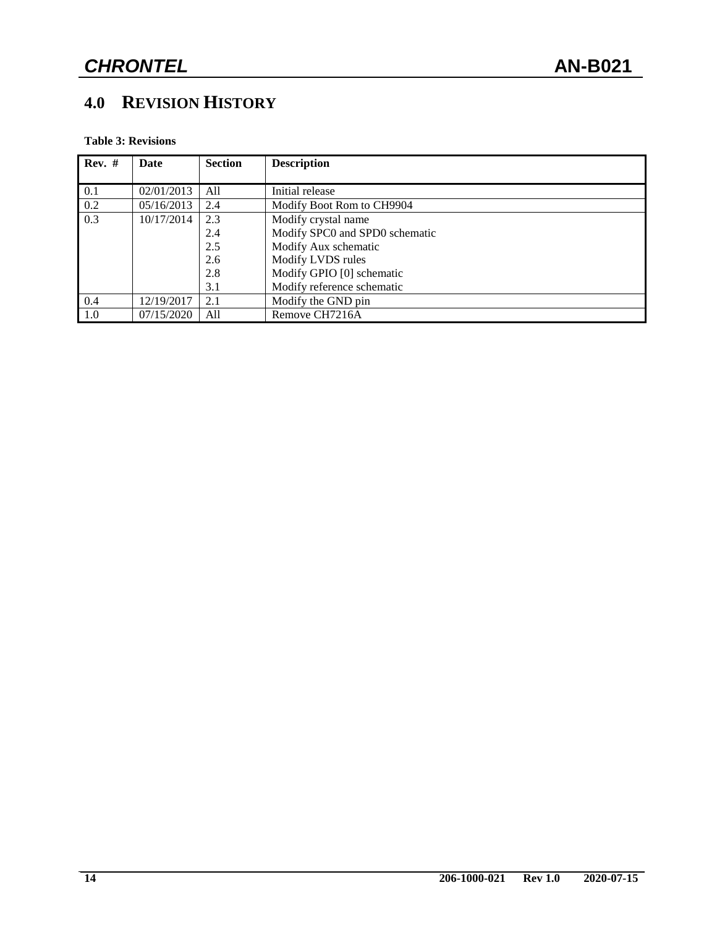# **4.0 REVISION HISTORY**

**Table 3: Revisions**

| $Rev.$ # | Date       | <b>Section</b> | <b>Description</b>             |
|----------|------------|----------------|--------------------------------|
|          |            |                |                                |
| 0.1      | 02/01/2013 | All            | Initial release                |
| 0.2      | 05/16/2013 | 2.4            | Modify Boot Rom to CH9904      |
| 0.3      | 10/17/2014 | 2.3            | Modify crystal name            |
|          |            | 2.4            | Modify SPC0 and SPD0 schematic |
|          |            | 2.5            | Modify Aux schematic           |
|          |            | 2.6            | Modify LVDS rules              |
|          |            | 2.8            | Modify GPIO [0] schematic      |
|          |            | 3.1            | Modify reference schematic     |
| 0.4      | 12/19/2017 | 2.1            | Modify the GND pin             |
| 1.0      | 07/15/2020 | All            | Remove CH7216A                 |